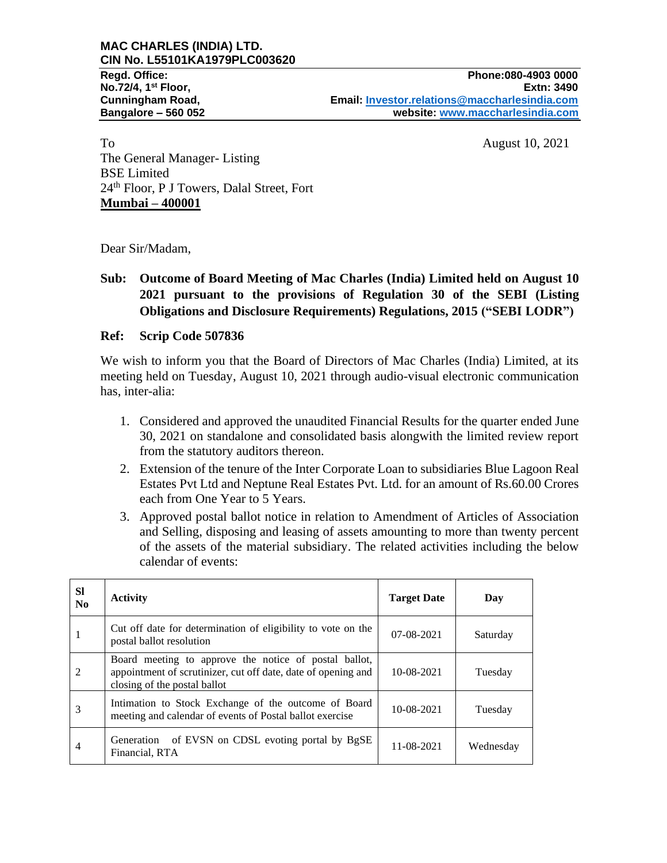To August 10, 2021 The General Manager- Listing BSE Limited 24th Floor, P J Towers, Dalal Street, Fort **Mumbai – 400001**

Dear Sir/Madam,

# **Sub: Outcome of Board Meeting of Mac Charles (India) Limited held on August 10 2021 pursuant to the provisions of Regulation 30 of the SEBI (Listing Obligations and Disclosure Requirements) Regulations, 2015 ("SEBI LODR")**

### **Ref: Scrip Code 507836**

We wish to inform you that the Board of Directors of Mac Charles (India) Limited, at its meeting held on Tuesday, August 10, 2021 through audio-visual electronic communication has, inter-alia:

- 1. Considered and approved the unaudited Financial Results for the quarter ended June 30, 2021 on standalone and consolidated basis alongwith the limited review report from the statutory auditors thereon.
- 2. Extension of the tenure of the Inter Corporate Loan to subsidiaries Blue Lagoon Real Estates Pvt Ltd and Neptune Real Estates Pvt. Ltd. for an amount of Rs.60.00 Crores each from One Year to 5 Years.
- 3. Approved postal ballot notice in relation to Amendment of Articles of Association and Selling, disposing and leasing of assets amounting to more than twenty percent of the assets of the material subsidiary. The related activities including the below calendar of events:

| <b>SI</b><br>$\mathbf{N_0}$ | <b>Activity</b>                                                                                                                                        | <b>Target Date</b> | Day       |
|-----------------------------|--------------------------------------------------------------------------------------------------------------------------------------------------------|--------------------|-----------|
|                             | Cut off date for determination of eligibility to vote on the<br>postal ballot resolution                                                               | 07-08-2021         | Saturday  |
| $\overline{2}$              | Board meeting to approve the notice of postal ballot,<br>appointment of scrutinizer, cut off date, date of opening and<br>closing of the postal ballot | 10-08-2021         | Tuesday   |
| 3                           | Intimation to Stock Exchange of the outcome of Board<br>meeting and calendar of events of Postal ballot exercise                                       | 10-08-2021         | Tuesday   |
| 4                           | of EVSN on CDSL evoting portal by BgSE<br>Generation<br>Financial, RTA                                                                                 | 11-08-2021         | Wednesday |